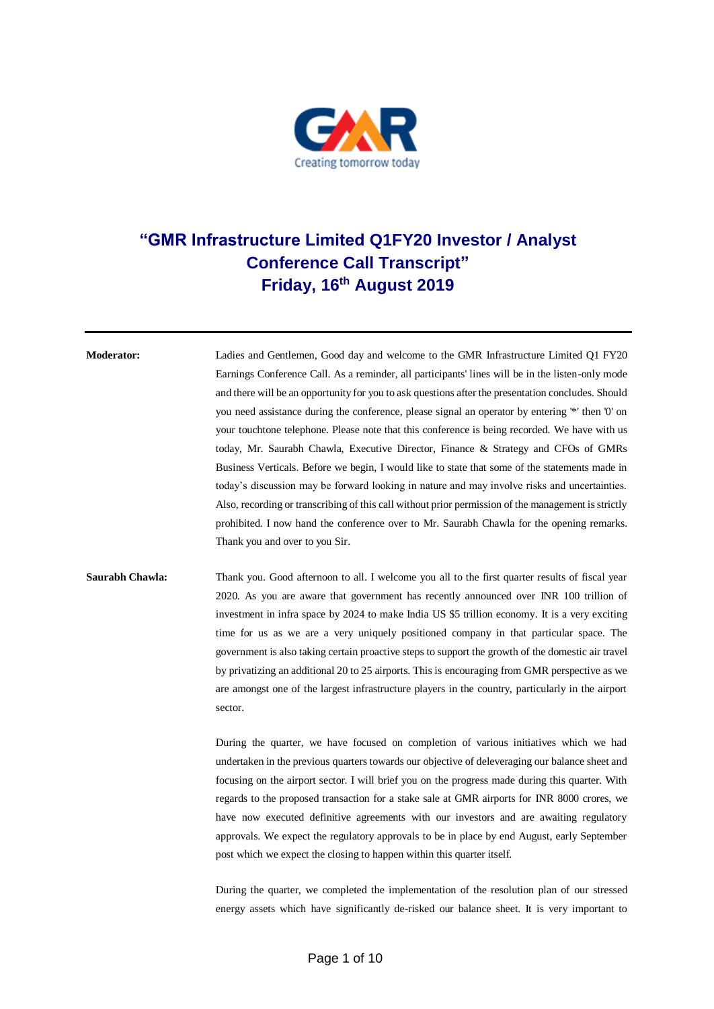

## **"GMR Infrastructure Limited Q1FY20 Investor / Analyst Conference Call Transcript" Friday, 16th August 2019**

**Moderator:** Ladies and Gentlemen, Good day and welcome to the GMR Infrastructure Limited Q1 FY20 Earnings Conference Call. As a reminder, all participants' lines will be in the listen-only mode and there will be an opportunity for you to ask questions after the presentation concludes. Should you need assistance during the conference, please signal an operator by entering '\*' then '0' on your touchtone telephone. Please note that this conference is being recorded. We have with us today, Mr. Saurabh Chawla, Executive Director, Finance & Strategy and CFOs of GMRs Business Verticals. Before we begin, I would like to state that some of the statements made in today's discussion may be forward looking in nature and may involve risks and uncertainties. Also, recording or transcribing of this call without prior permission of the management is strictly prohibited. I now hand the conference over to Mr. Saurabh Chawla for the opening remarks. Thank you and over to you Sir.

## **Saurabh Chawla:** Thank you. Good afternoon to all. I welcome you all to the first quarter results of fiscal year 2020. As you are aware that government has recently announced over INR 100 trillion of investment in infra space by 2024 to make India US \$5 trillion economy. It is a very exciting time for us as we are a very uniquely positioned company in that particular space. The government is also taking certain proactive steps to support the growth of the domestic air travel by privatizing an additional 20 to 25 airports. This is encouraging from GMR perspective as we are amongst one of the largest infrastructure players in the country, particularly in the airport sector.

During the quarter, we have focused on completion of various initiatives which we had undertaken in the previous quarters towards our objective of deleveraging our balance sheet and focusing on the airport sector. I will brief you on the progress made during this quarter. With regards to the proposed transaction for a stake sale at GMR airports for INR 8000 crores, we have now executed definitive agreements with our investors and are awaiting regulatory approvals. We expect the regulatory approvals to be in place by end August, early September post which we expect the closing to happen within this quarter itself.

During the quarter, we completed the implementation of the resolution plan of our stressed energy assets which have significantly de-risked our balance sheet. It is very important to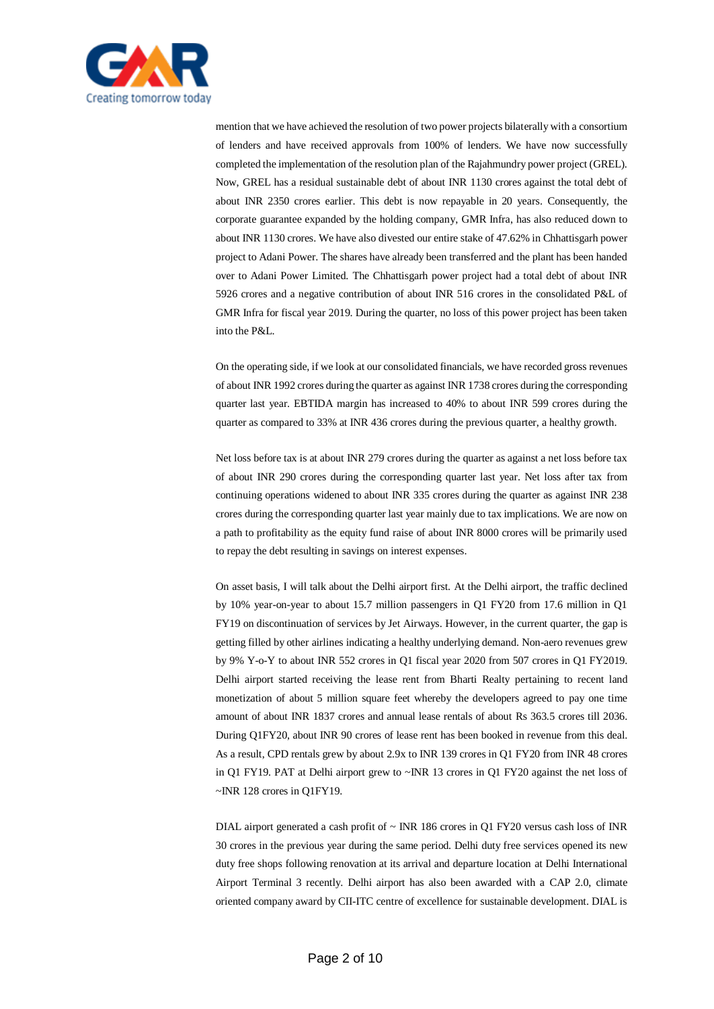

mention that we have achieved the resolution of two power projects bilaterally with a consortium of lenders and have received approvals from 100% of lenders. We have now successfully completed the implementation of the resolution plan of the Rajahmundry power project (GREL). Now, GREL has a residual sustainable debt of about INR 1130 crores against the total debt of about INR 2350 crores earlier. This debt is now repayable in 20 years. Consequently, the corporate guarantee expanded by the holding company, GMR Infra, has also reduced down to about INR 1130 crores. We have also divested our entire stake of 47.62% in Chhattisgarh power project to Adani Power. The shares have already been transferred and the plant has been handed over to Adani Power Limited. The Chhattisgarh power project had a total debt of about INR 5926 crores and a negative contribution of about INR 516 crores in the consolidated P&L of GMR Infra for fiscal year 2019. During the quarter, no loss of this power project has been taken into the P&L.

On the operating side, if we look at our consolidated financials, we have recorded gross revenues of about INR 1992 crores during the quarter as against INR 1738 crores during the corresponding quarter last year. EBTIDA margin has increased to 40% to about INR 599 crores during the quarter as compared to 33% at INR 436 crores during the previous quarter, a healthy growth.

Net loss before tax is at about INR 279 crores during the quarter as against a net loss before tax of about INR 290 crores during the corresponding quarter last year. Net loss after tax from continuing operations widened to about INR 335 crores during the quarter as against INR 238 crores during the corresponding quarter last year mainly due to tax implications. We are now on a path to profitability as the equity fund raise of about INR 8000 crores will be primarily used to repay the debt resulting in savings on interest expenses.

On asset basis, I will talk about the Delhi airport first. At the Delhi airport, the traffic declined by 10% year-on-year to about 15.7 million passengers in Q1 FY20 from 17.6 million in Q1 FY19 on discontinuation of services by Jet Airways. However, in the current quarter, the gap is getting filled by other airlines indicating a healthy underlying demand. Non-aero revenues grew by 9% Y-o-Y to about INR 552 crores in Q1 fiscal year 2020 from 507 crores in Q1 FY2019. Delhi airport started receiving the lease rent from Bharti Realty pertaining to recent land monetization of about 5 million square feet whereby the developers agreed to pay one time amount of about INR 1837 crores and annual lease rentals of about Rs 363.5 crores till 2036. During Q1FY20, about INR 90 crores of lease rent has been booked in revenue from this deal. As a result, CPD rentals grew by about 2.9x to INR 139 crores in Q1 FY20 from INR 48 crores in Q1 FY19. PAT at Delhi airport grew to ~INR 13 crores in Q1 FY20 against the net loss of ~INR 128 crores in Q1FY19.

DIAL airport generated a cash profit of ~ INR 186 crores in Q1 FY20 versus cash loss of INR 30 crores in the previous year during the same period. Delhi duty free services opened its new duty free shops following renovation at its arrival and departure location at Delhi International Airport Terminal 3 recently. Delhi airport has also been awarded with a CAP 2.0, climate oriented company award by CII-ITC centre of excellence for sustainable development. DIAL is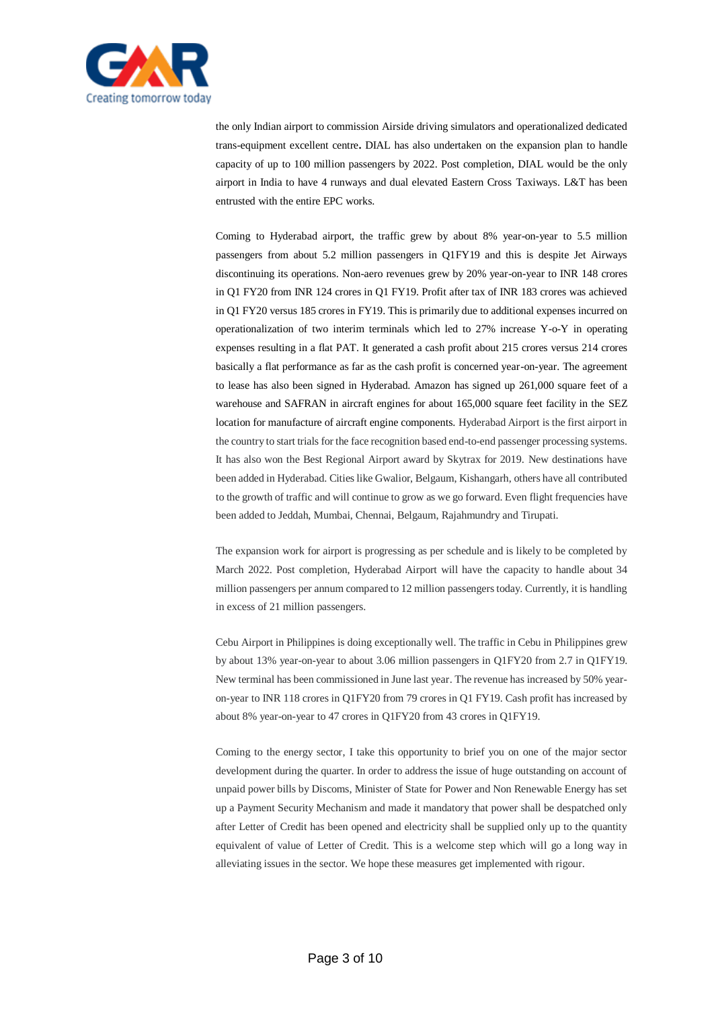

the only Indian airport to commission Airside driving simulators and operationalized dedicated trans-equipment excellent centre**.** DIAL has also undertaken on the expansion plan to handle capacity of up to 100 million passengers by 2022. Post completion, DIAL would be the only airport in India to have 4 runways and dual elevated Eastern Cross Taxiways. L&T has been entrusted with the entire EPC works.

Coming to Hyderabad airport, the traffic grew by about 8% year-on-year to 5.5 million passengers from about 5.2 million passengers in Q1FY19 and this is despite Jet Airways discontinuing its operations. Non-aero revenues grew by 20% year-on-year to INR 148 crores in Q1 FY20 from INR 124 crores in Q1 FY19. Profit after tax of INR 183 crores was achieved in Q1 FY20 versus 185 crores in FY19. This is primarily due to additional expenses incurred on operationalization of two interim terminals which led to 27% increase Y-o-Y in operating expenses resulting in a flat PAT. It generated a cash profit about 215 crores versus 214 crores basically a flat performance as far as the cash profit is concerned year-on-year. The agreement to lease has also been signed in Hyderabad. Amazon has signed up 261,000 square feet of a warehouse and SAFRAN in aircraft engines for about 165,000 square feet facility in the SEZ location for manufacture of aircraft engine components. Hyderabad Airport is the first airport in the country to start trials for the face recognition based end-to-end passenger processing systems. It has also won the Best Regional Airport award by Skytrax for 2019. New destinations have been added in Hyderabad. Cities like Gwalior, Belgaum, Kishangarh, others have all contributed to the growth of traffic and will continue to grow as we go forward. Even flight frequencies have been added to Jeddah, Mumbai, Chennai, Belgaum, Rajahmundry and Tirupati.

The expansion work for airport is progressing as per schedule and is likely to be completed by March 2022. Post completion, Hyderabad Airport will have the capacity to handle about 34 million passengers per annum compared to 12 million passengers today. Currently, it is handling in excess of 21 million passengers.

Cebu Airport in Philippines is doing exceptionally well. The traffic in Cebu in Philippines grew by about 13% year-on-year to about 3.06 million passengers in Q1FY20 from 2.7 in Q1FY19. New terminal has been commissioned in June last year. The revenue has increased by 50% yearon-year to INR 118 crores in Q1FY20 from 79 crores in Q1 FY19. Cash profit has increased by about 8% year-on-year to 47 crores in Q1FY20 from 43 crores in Q1FY19.

Coming to the energy sector, I take this opportunity to brief you on one of the major sector development during the quarter. In order to address the issue of huge outstanding on account of unpaid power bills by Discoms, Minister of State for Power and Non Renewable Energy has set up a Payment Security Mechanism and made it mandatory that power shall be despatched only after Letter of Credit has been opened and electricity shall be supplied only up to the quantity equivalent of value of Letter of Credit. This is a welcome step which will go a long way in alleviating issues in the sector. We hope these measures get implemented with rigour.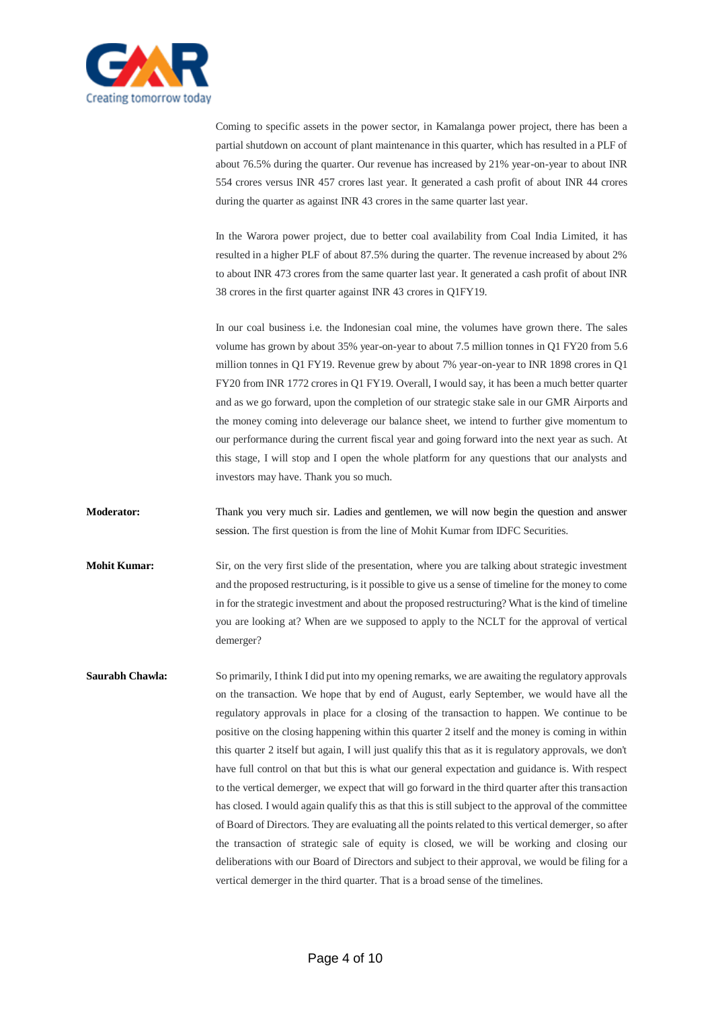

Coming to specific assets in the power sector, in Kamalanga power project, there has been a partial shutdown on account of plant maintenance in this quarter, which has resulted in a PLF of about 76.5% during the quarter. Our revenue has increased by 21% year-on-year to about INR 554 crores versus INR 457 crores last year. It generated a cash profit of about INR 44 crores during the quarter as against INR 43 crores in the same quarter last year.

In the Warora power project, due to better coal availability from Coal India Limited, it has resulted in a higher PLF of about 87.5% during the quarter. The revenue increased by about 2% to about INR 473 crores from the same quarter last year. It generated a cash profit of about INR 38 crores in the first quarter against INR 43 crores in Q1FY19.

In our coal business i.e. the Indonesian coal mine, the volumes have grown there. The sales volume has grown by about 35% year-on-year to about 7.5 million tonnes in Q1 FY20 from 5.6 million tonnes in Q1 FY19. Revenue grew by about 7% year-on-year to INR 1898 crores in Q1 FY20 from INR 1772 crores in Q1 FY19. Overall, I would say, it has been a much better quarter and as we go forward, upon the completion of our strategic stake sale in our GMR Airports and the money coming into deleverage our balance sheet, we intend to further give momentum to our performance during the current fiscal year and going forward into the next year as such. At this stage, I will stop and I open the whole platform for any questions that our analysts and investors may have. Thank you so much.

**Moderator:** Thank you very much sir. Ladies and gentlemen, we will now begin the question and answer session. The first question is from the line of Mohit Kumar from IDFC Securities.

**Mohit Kumar:** Sir, on the very first slide of the presentation, where you are talking about strategic investment and the proposed restructuring, isit possible to give us a sense of timeline for the money to come in for the strategic investment and about the proposed restructuring? What is the kind of timeline you are looking at? When are we supposed to apply to the NCLT for the approval of vertical demerger?

**Saurabh Chawla:** So primarily, I think I did put into my opening remarks, we are awaiting the regulatory approvals on the transaction. We hope that by end of August, early September, we would have all the regulatory approvals in place for a closing of the transaction to happen. We continue to be positive on the closing happening within this quarter 2 itself and the money is coming in within this quarter 2 itself but again, I will just qualify this that as it is regulatory approvals, we don't have full control on that but this is what our general expectation and guidance is. With respect to the vertical demerger, we expect that will go forward in the third quarter after this transaction has closed. I would again qualify this as that this is still subject to the approval of the committee of Board of Directors. They are evaluating all the points related to this vertical demerger, so after the transaction of strategic sale of equity is closed, we will be working and closing our deliberations with our Board of Directors and subject to their approval, we would be filing for a vertical demerger in the third quarter. That is a broad sense of the timelines.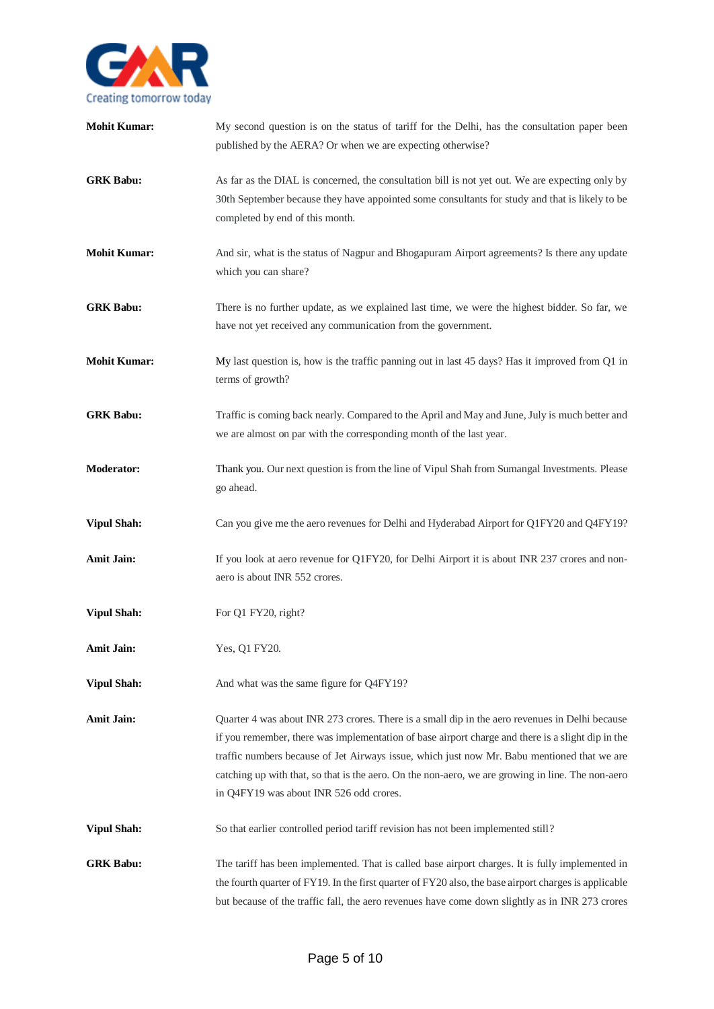

| <b>Mohit Kumar:</b> | My second question is on the status of tariff for the Delhi, has the consultation paper been<br>published by the AERA? Or when we are expecting otherwise?                                                                                                                                                                                                                                                                                         |
|---------------------|----------------------------------------------------------------------------------------------------------------------------------------------------------------------------------------------------------------------------------------------------------------------------------------------------------------------------------------------------------------------------------------------------------------------------------------------------|
| <b>GRK Babu:</b>    | As far as the DIAL is concerned, the consultation bill is not yet out. We are expecting only by<br>30th September because they have appointed some consultants for study and that is likely to be<br>completed by end of this month.                                                                                                                                                                                                               |
| <b>Mohit Kumar:</b> | And sir, what is the status of Nagpur and Bhogapuram Airport agreements? Is there any update<br>which you can share?                                                                                                                                                                                                                                                                                                                               |
| <b>GRK Babu:</b>    | There is no further update, as we explained last time, we were the highest bidder. So far, we<br>have not yet received any communication from the government.                                                                                                                                                                                                                                                                                      |
| <b>Mohit Kumar:</b> | My last question is, how is the traffic panning out in last 45 days? Has it improved from Q1 in<br>terms of growth?                                                                                                                                                                                                                                                                                                                                |
| <b>GRK Babu:</b>    | Traffic is coming back nearly. Compared to the April and May and June, July is much better and<br>we are almost on par with the corresponding month of the last year.                                                                                                                                                                                                                                                                              |
| <b>Moderator:</b>   | Thank you. Our next question is from the line of Vipul Shah from Sumangal Investments. Please<br>go ahead.                                                                                                                                                                                                                                                                                                                                         |
| <b>Vipul Shah:</b>  | Can you give me the aero revenues for Delhi and Hyderabad Airport for Q1FY20 and Q4FY19?                                                                                                                                                                                                                                                                                                                                                           |
| <b>Amit Jain:</b>   | If you look at aero revenue for Q1FY20, for Delhi Airport it is about INR 237 crores and non-<br>aero is about INR 552 crores.                                                                                                                                                                                                                                                                                                                     |
| <b>Vipul Shah:</b>  | For Q1 FY20, right?                                                                                                                                                                                                                                                                                                                                                                                                                                |
| <b>Amit Jain:</b>   | Yes, Q1 FY20.                                                                                                                                                                                                                                                                                                                                                                                                                                      |
| <b>Vipul Shah:</b>  | And what was the same figure for Q4FY19?                                                                                                                                                                                                                                                                                                                                                                                                           |
| <b>Amit Jain:</b>   | Quarter 4 was about INR 273 crores. There is a small dip in the aero revenues in Delhi because<br>if you remember, there was implementation of base airport charge and there is a slight dip in the<br>traffic numbers because of Jet Airways issue, which just now Mr. Babu mentioned that we are<br>catching up with that, so that is the aero. On the non-aero, we are growing in line. The non-aero<br>in Q4FY19 was about INR 526 odd crores. |
| <b>Vipul Shah:</b>  | So that earlier controlled period tariff revision has not been implemented still?                                                                                                                                                                                                                                                                                                                                                                  |
| <b>GRK Babu:</b>    | The tariff has been implemented. That is called base airport charges. It is fully implemented in<br>the fourth quarter of FY19. In the first quarter of FY20 also, the base airport charges is applicable<br>but because of the traffic fall, the aero revenues have come down slightly as in INR 273 crores                                                                                                                                       |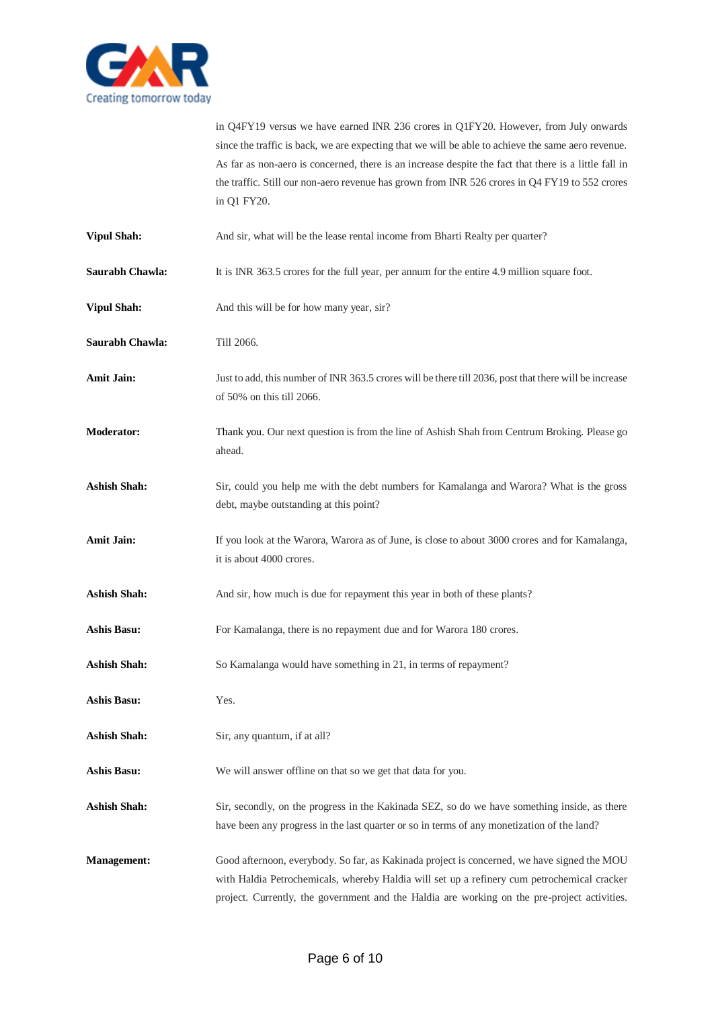

in Q4FY19 versus we have earned INR 236 crores in Q1FY20. However, from July onwards since the traffic is back, we are expecting that we will be able to achieve the same aero revenue. As far as non-aero is concerned, there is an increase despite the fact that there is a little fall in the traffic. Still our non-aero revenue has grown from INR 526 crores in Q4 FY19 to 552 crores in Q1 FY20. **Vipul Shah:** And sir, what will be the lease rental income from Bharti Realty per quarter? **Saurabh Chawla:** It is INR 363.5 crores for the full year, per annum for the entire 4.9 million square foot.

- **Vipul Shah:** And this will be for how many year, sir?
- Saurabh Chawla: Till 2066.
- **Amit Jain:** Just to add, this number of INR 363.5 crores will be there till 2036, post that there will be increase of 50% on this till 2066.
- **Moderator:** Thank you. Our next question is from the line of Ashish Shah from Centrum Broking. Please go ahead.
- **Ashish Shah:** Sir, could you help me with the debt numbers for Kamalanga and Warora? What is the gross debt, maybe outstanding at this point?
- **Amit Jain:** If you look at the Warora, Warora as of June, is close to about 3000 crores and for Kamalanga, it is about 4000 crores.
- Ashish Shah: And sir, how much is due for repayment this year in both of these plants?
- **Ashis Basu:** For Kamalanga, there is no repayment due and for Warora 180 crores.
- Ashish Shah: So Kamalanga would have something in 21, in terms of repayment?
- **Ashis Basu:** Yes.
- **Ashish Shah:** Sir, any quantum, if at all?
- Ashis Basu: We will answer offline on that so we get that data for you.
- Ashish Shah: Sir, secondly, on the progress in the Kakinada SEZ, so do we have something inside, as there have been any progress in the last quarter or so in terms of any monetization of the land?
- **Management:** Good afternoon, everybody. So far, as Kakinada project is concerned, we have signed the MOU with Haldia Petrochemicals, whereby Haldia will set up a refinery cum petrochemical cracker project. Currently, the government and the Haldia are working on the pre-project activities.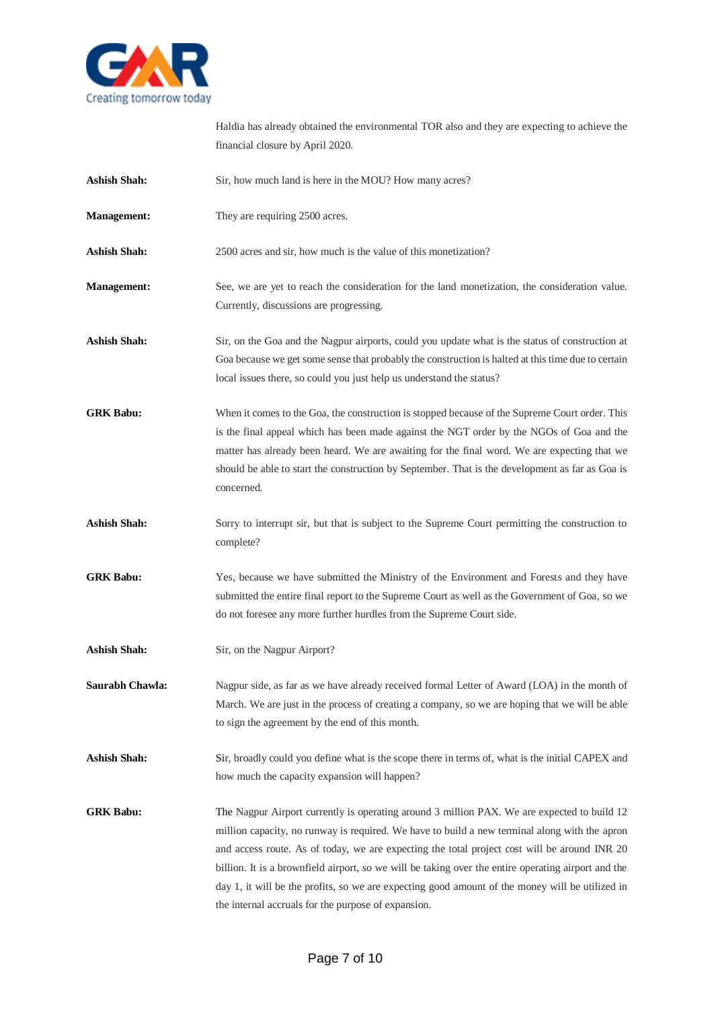

Haldia has already obtained the environmental TOR also and they are expecting to achieve the financial closure by April 2020.

- Ashish Shah: Sir, how much land is here in the MOU? How many acres?
- **Management:** They are requiring 2500 acres.
- **Ashish Shah:** 2500 acres and sir, how much is the value of this monetization?
- **Management:** See, we are yet to reach the consideration for the land monetization, the consideration value. Currently, discussions are progressing.
- **Ashish Shah:** Sir, on the Goa and the Nagpur airports, could you update what is the status of construction at Goa because we get some sense that probably the construction is halted at this time due to certain local issues there, so could you just help us understand the status?
- **GRK Babu:** When it comes to the Goa, the construction is stopped because of the Supreme Court order. This is the final appeal which has been made against the NGT order by the NGOs of Goa and the matter has already been heard. We are awaiting for the final word. We are expecting that we should be able to start the construction by September. That is the development as far as Goa is concerned.
- Ashish Shah: Sorry to interrupt sir, but that is subject to the Supreme Court permitting the construction to complete?
- **GRK Babu:** Yes, because we have submitted the Ministry of the Environment and Forests and they have submitted the entire final report to the Supreme Court as well as the Government of Goa, so we do not foresee any more further hurdles from the Supreme Court side.
- **Ashish Shah:** Sir, on the Nagpur Airport?

**Saurabh Chawla:** Nagpur side, as far as we have already received formal Letter of Award (LOA) in the month of March. We are just in the process of creating a company, so we are hoping that we will be able to sign the agreement by the end of this month.

- **Ashish Shah:** Sir, broadly could you define what is the scope there in terms of, what is the initial CAPEX and how much the capacity expansion will happen?
- GRK Babu: The Nagpur Airport currently is operating around 3 million PAX. We are expected to build 12 million capacity, no runway is required. We have to build a new terminal along with the apron and access route. As of today, we are expecting the total project cost will be around INR 20 billion. It is a brownfield airport, so we will be taking over the entire operating airport and the day 1, it will be the profits, so we are expecting good amount of the money will be utilized in the internal accruals for the purpose of expansion.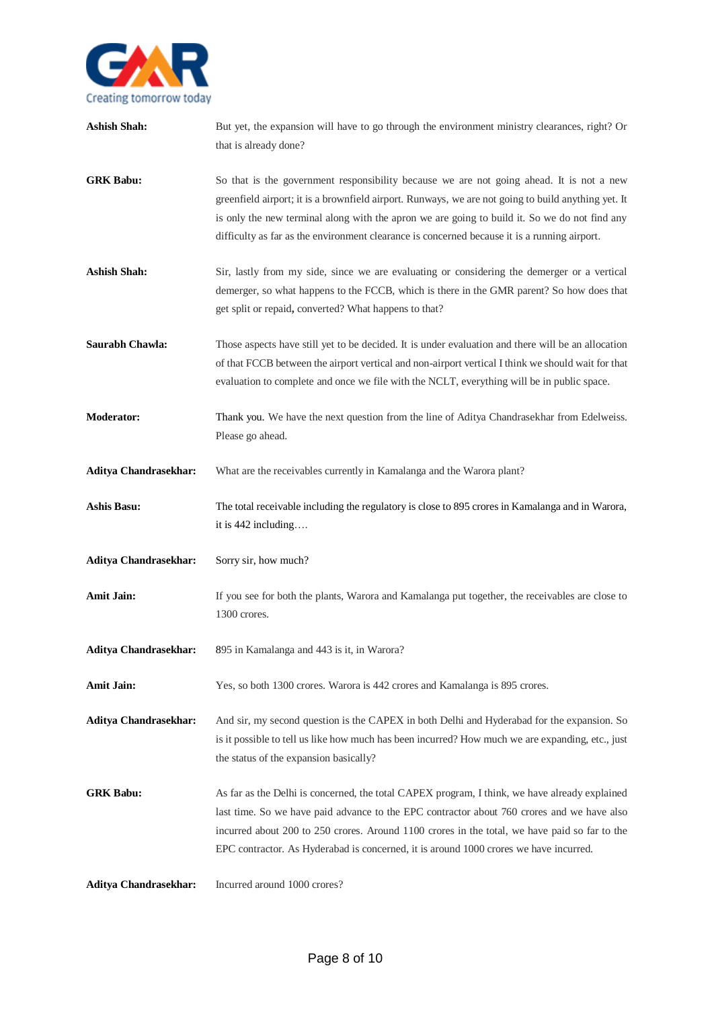

| <b>Ashish Shah:</b>          | But yet, the expansion will have to go through the environment ministry clearances, right? Or<br>that is already done?                                                                                                                                                                                                                                                                           |
|------------------------------|--------------------------------------------------------------------------------------------------------------------------------------------------------------------------------------------------------------------------------------------------------------------------------------------------------------------------------------------------------------------------------------------------|
| <b>GRK Babu:</b>             | So that is the government responsibility because we are not going ahead. It is not a new<br>greenfield airport; it is a brownfield airport. Runways, we are not going to build anything yet. It<br>is only the new terminal along with the apron we are going to build it. So we do not find any<br>difficulty as far as the environment clearance is concerned because it is a running airport. |
| <b>Ashish Shah:</b>          | Sir, lastly from my side, since we are evaluating or considering the demerger or a vertical<br>demerger, so what happens to the FCCB, which is there in the GMR parent? So how does that<br>get split or repaid, converted? What happens to that?                                                                                                                                                |
| Saurabh Chawla:              | Those aspects have still yet to be decided. It is under evaluation and there will be an allocation<br>of that FCCB between the airport vertical and non-airport vertical I think we should wait for that<br>evaluation to complete and once we file with the NCLT, everything will be in public space.                                                                                           |
| <b>Moderator:</b>            | Thank you. We have the next question from the line of Aditya Chandrasekhar from Edelweiss.<br>Please go ahead.                                                                                                                                                                                                                                                                                   |
| Aditya Chandrasekhar:        | What are the receivables currently in Kamalanga and the Warora plant?                                                                                                                                                                                                                                                                                                                            |
| <b>Ashis Basu:</b>           | The total receivable including the regulatory is close to 895 crores in Kamalanga and in Warora,<br>it is $442$ including                                                                                                                                                                                                                                                                        |
| Aditya Chandrasekhar:        | Sorry sir, how much?                                                                                                                                                                                                                                                                                                                                                                             |
| <b>Amit Jain:</b>            | If you see for both the plants, Warora and Kamalanga put together, the receivables are close to<br>1300 crores.                                                                                                                                                                                                                                                                                  |
| <b>Aditya Chandrasekhar:</b> | 895 in Kamalanga and 443 is it, in Warora?                                                                                                                                                                                                                                                                                                                                                       |
| <b>Amit Jain:</b>            | Yes, so both 1300 crores. Warora is 442 crores and Kamalanga is 895 crores.                                                                                                                                                                                                                                                                                                                      |
| Aditya Chandrasekhar:        | And sir, my second question is the CAPEX in both Delhi and Hyderabad for the expansion. So<br>is it possible to tell us like how much has been incurred? How much we are expanding, etc., just<br>the status of the expansion basically?                                                                                                                                                         |
| <b>GRK Babu:</b>             | As far as the Delhi is concerned, the total CAPEX program, I think, we have already explained<br>last time. So we have paid advance to the EPC contractor about 760 crores and we have also<br>incurred about 200 to 250 crores. Around 1100 crores in the total, we have paid so far to the<br>EPC contractor. As Hyderabad is concerned, it is around 1000 crores we have incurred.            |
| Aditya Chandrasekhar:        | Incurred around 1000 crores?                                                                                                                                                                                                                                                                                                                                                                     |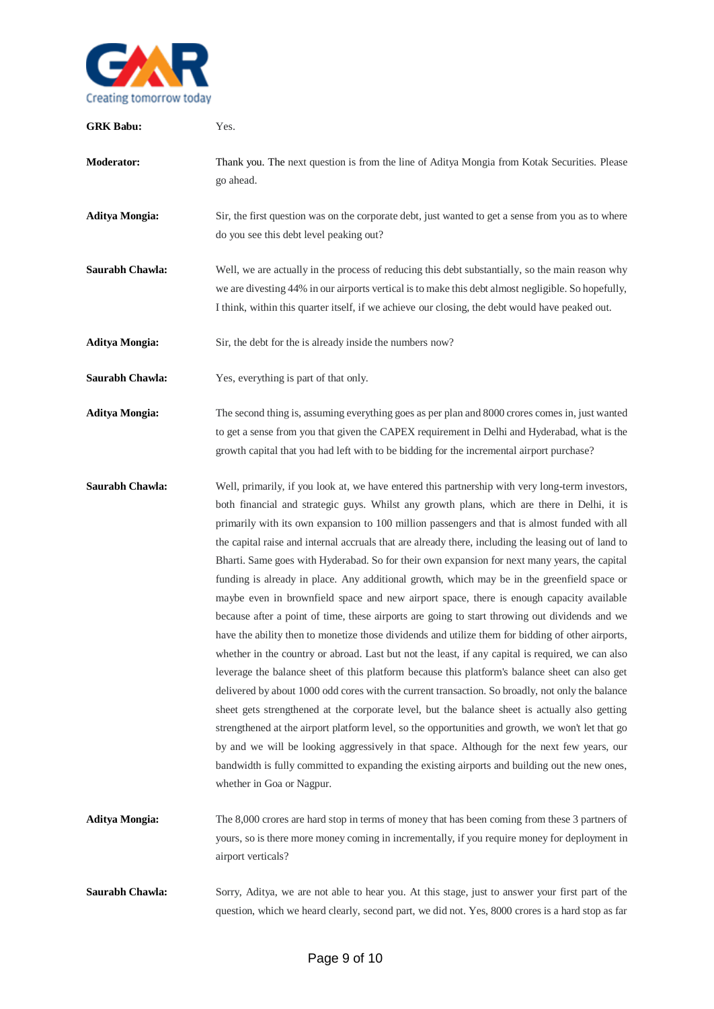

| <b>GRK Babu:</b>      | Yes.                                                                                                                                                                                                                                                                                                                                                                                                                                                                                                                                                                                                                                                                                                                                                                                                                                                                                                                                                                                                                                                                                                                                                                                                                                                                                                                                                                                                                                                                                                                                                                                                                                                       |
|-----------------------|------------------------------------------------------------------------------------------------------------------------------------------------------------------------------------------------------------------------------------------------------------------------------------------------------------------------------------------------------------------------------------------------------------------------------------------------------------------------------------------------------------------------------------------------------------------------------------------------------------------------------------------------------------------------------------------------------------------------------------------------------------------------------------------------------------------------------------------------------------------------------------------------------------------------------------------------------------------------------------------------------------------------------------------------------------------------------------------------------------------------------------------------------------------------------------------------------------------------------------------------------------------------------------------------------------------------------------------------------------------------------------------------------------------------------------------------------------------------------------------------------------------------------------------------------------------------------------------------------------------------------------------------------------|
| <b>Moderator:</b>     | Thank you. The next question is from the line of Aditya Mongia from Kotak Securities. Please<br>go ahead.                                                                                                                                                                                                                                                                                                                                                                                                                                                                                                                                                                                                                                                                                                                                                                                                                                                                                                                                                                                                                                                                                                                                                                                                                                                                                                                                                                                                                                                                                                                                                  |
| <b>Aditya Mongia:</b> | Sir, the first question was on the corporate debt, just wanted to get a sense from you as to where<br>do you see this debt level peaking out?                                                                                                                                                                                                                                                                                                                                                                                                                                                                                                                                                                                                                                                                                                                                                                                                                                                                                                                                                                                                                                                                                                                                                                                                                                                                                                                                                                                                                                                                                                              |
| Saurabh Chawla:       | Well, we are actually in the process of reducing this debt substantially, so the main reason why<br>we are divesting 44% in our airports vertical is to make this debt almost negligible. So hopefully,<br>I think, within this quarter itself, if we achieve our closing, the debt would have peaked out.                                                                                                                                                                                                                                                                                                                                                                                                                                                                                                                                                                                                                                                                                                                                                                                                                                                                                                                                                                                                                                                                                                                                                                                                                                                                                                                                                 |
| <b>Aditya Mongia:</b> | Sir, the debt for the is already inside the numbers now?                                                                                                                                                                                                                                                                                                                                                                                                                                                                                                                                                                                                                                                                                                                                                                                                                                                                                                                                                                                                                                                                                                                                                                                                                                                                                                                                                                                                                                                                                                                                                                                                   |
| Saurabh Chawla:       | Yes, everything is part of that only.                                                                                                                                                                                                                                                                                                                                                                                                                                                                                                                                                                                                                                                                                                                                                                                                                                                                                                                                                                                                                                                                                                                                                                                                                                                                                                                                                                                                                                                                                                                                                                                                                      |
| <b>Aditya Mongia:</b> | The second thing is, assuming everything goes as per plan and 8000 crores comes in, just wanted<br>to get a sense from you that given the CAPEX requirement in Delhi and Hyderabad, what is the<br>growth capital that you had left with to be bidding for the incremental airport purchase?                                                                                                                                                                                                                                                                                                                                                                                                                                                                                                                                                                                                                                                                                                                                                                                                                                                                                                                                                                                                                                                                                                                                                                                                                                                                                                                                                               |
| Saurabh Chawla:       | Well, primarily, if you look at, we have entered this partnership with very long-term investors,<br>both financial and strategic guys. Whilst any growth plans, which are there in Delhi, it is<br>primarily with its own expansion to 100 million passengers and that is almost funded with all<br>the capital raise and internal accruals that are already there, including the leasing out of land to<br>Bharti. Same goes with Hyderabad. So for their own expansion for next many years, the capital<br>funding is already in place. Any additional growth, which may be in the greenfield space or<br>maybe even in brownfield space and new airport space, there is enough capacity available<br>because after a point of time, these airports are going to start throwing out dividends and we<br>have the ability then to monetize those dividends and utilize them for bidding of other airports,<br>whether in the country or abroad. Last but not the least, if any capital is required, we can also<br>leverage the balance sheet of this platform because this platform's balance sheet can also get<br>delivered by about 1000 odd cores with the current transaction. So broadly, not only the balance<br>sheet gets strengthened at the corporate level, but the balance sheet is actually also getting<br>strengthened at the airport platform level, so the opportunities and growth, we won't let that go<br>by and we will be looking aggressively in that space. Although for the next few years, our<br>bandwidth is fully committed to expanding the existing airports and building out the new ones,<br>whether in Goa or Nagpur. |
| <b>Aditya Mongia:</b> | The 8,000 crores are hard stop in terms of money that has been coming from these 3 partners of<br>yours, so is there more money coming in incrementally, if you require money for deployment in<br>airport verticals?                                                                                                                                                                                                                                                                                                                                                                                                                                                                                                                                                                                                                                                                                                                                                                                                                                                                                                                                                                                                                                                                                                                                                                                                                                                                                                                                                                                                                                      |
| Saurabh Chawla:       | Sorry, Aditya, we are not able to hear you. At this stage, just to answer your first part of the<br>question, which we heard clearly, second part, we did not. Yes, 8000 crores is a hard stop as far                                                                                                                                                                                                                                                                                                                                                                                                                                                                                                                                                                                                                                                                                                                                                                                                                                                                                                                                                                                                                                                                                                                                                                                                                                                                                                                                                                                                                                                      |